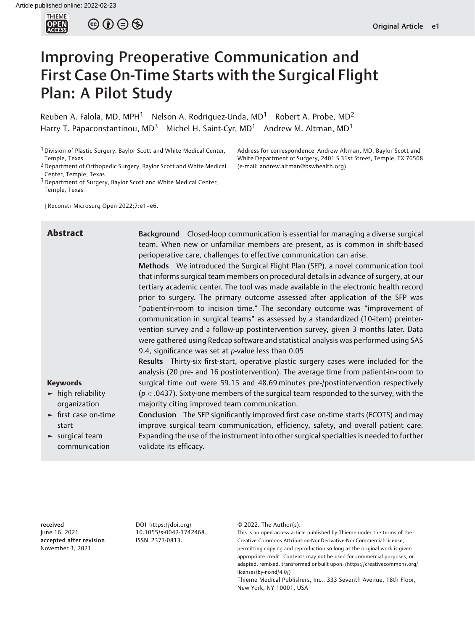

 $\circledcirc$   $\circledcirc$   $\circledcirc$ 

# Improving Preoperative Communication and First Case On-Time Starts with the Surgical Flight Plan: A Pilot Study

Reuben A. Falola, MD, MPH<sup>1</sup> Nelson A. Rodriguez-Unda, MD<sup>1</sup> Robert A. Probe, MD<sup>2</sup> Harry T. Papaconstantinou,  $MD^3$  Michel H. Saint-Cyr,  $MD^1$  Andrew M. Altman,  $MD^1$ 

<sup>1</sup> Division of Plastic Surgery, Baylor Scott and White Medical Center, Temple, Texas

2Department of Orthopedic Surgery, Baylor Scott and White Medical Center, Temple, Texas

3Department of Surgery, Baylor Scott and White Medical Center, Temple, Texas

J Reconstr Microsurg Open 2022;7:e1–e6.

Address for correspondence Andrew Altman, MD, Baylor Scott and White Department of Surgery, 2401 S 31st Street, Temple, TX 76508 (e-mail: [andrew.altman@bswhealth.org\)](mailto:andrew.altman@bswhealth.org).

Abstract Background Closed-loop communication is essential for managing a diverse surgical team. When new or unfamiliar members are present, as is common in shift-based perioperative care, challenges to effective communication can arise. Methods We introduced the Surgical Flight Plan (SFP), a novel communication tool that informs surgical team members on procedural details in advance of surgery, at our tertiary academic center. The tool was made available in the electronic health record prior to surgery. The primary outcome assessed after application of the SFP was "patient-in-room to incision time." The secondary outcome was "improvement of communication in surgical teams" as assessed by a standardized (10-item) preintervention survey and a follow-up postintervention survey, given 3 months later. Data were gathered using Redcap software and statistical analysis was performed using SAS 9.4, significance was set at p-value less than 0.05 Results Thirty-six first-start, operative plastic surgery cases were included for the analysis (20 pre- and 16 postintervention). The average time from patient-in-room to

#### Keywords

- ► high reliability organization
- ► first case on-time start

► surgical team communication majority citing improved team communication. Conclusion The SFP significantly improved first case on-time starts (FCOTS) and may improve surgical team communication, efficiency, safety, and overall patient care. Expanding the use of the instrument into other surgical specialties is needed to further validate its efficacy.

surgical time out were 59.15 and 48.69 minutes pre-/postintervention respectively  $(p < .0437)$ . Sixty-one members of the surgical team responded to the survey, with the

received June 16, 2021 accepted after revision November 3, 2021

DOI [https://doi.org/](https://doi.org/10.1055/s-0042-1742468) [10.1055/s-0042-1742468](https://doi.org/10.1055/s-0042-1742468). ISSN 2377-0813.

© 2022. The Author(s).

This is an open access article published by Thieme under the terms of the Creative Commons Attribution-NonDerivative-NonCommercial-License, permitting copying and reproduction so long as the original work is given appropriate credit. Contents may not be used for commercial purposes, or adapted, remixed, transformed or built upon. (https://creativecommons.org/ licenses/by-nc-nd/4.0/)

Thieme Medical Publishers, Inc., 333 Seventh Avenue, 18th Floor, New York, NY 10001, USA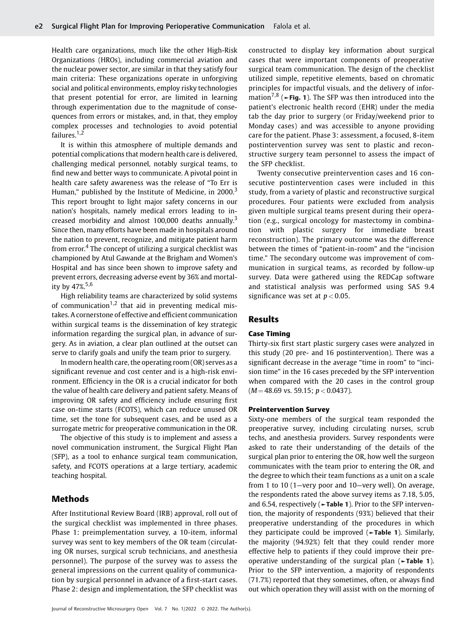Health care organizations, much like the other High-Risk Organizations (HROs), including commercial aviation and the nuclear power sector, are similar in that they satisfy four main criteria: These organizations operate in unforgiving social and political environments, employ risky technologies that present potential for error, are limited in learning through experimentation due to the magnitude of consequences from errors or mistakes, and, in that, they employ complex processes and technologies to avoid potential failures.<sup>1,2</sup>

It is within this atmosphere of multiple demands and potential complications that modern health care is delivered, challenging medical personnel, notably surgical teams, to find new and better ways to communicate. A pivotal point in health care safety awareness was the release of "To Err is Human," published by the Institute of Medicine, in 2000.<sup>3</sup> This report brought to light major safety concerns in our nation's hospitals, namely medical errors leading to increased morbidity and almost 100,000 deaths annually.<sup>3</sup> Since then, many efforts have been made in hospitals around the nation to prevent, recognize, and mitigate patient harm from error.<sup>4</sup> The concept of utilizing a surgical checklist was championed by Atul Gawande at the Brigham and Women's Hospital and has since been shown to improve safety and prevent errors, decreasing adverse event by 36% and mortality by  $47\%^{5,6}$ 

High reliability teams are characterized by solid systems of communication<sup>1,2</sup> that aid in preventing medical mistakes. A cornerstone of effective and efficient communication within surgical teams is the dissemination of key strategic information regarding the surgical plan, in advance of surgery. As in aviation, a clear plan outlined at the outset can serve to clarify goals and unify the team prior to surgery.

In modern health care, the operating room (OR) serves as a significant revenue and cost center and is a high-risk environment. Efficiency in the OR is a crucial indicator for both the value of health care delivery and patient safety. Means of improving OR safety and efficiency include ensuring first case on-time starts (FCOTS), which can reduce unused OR time, set the tone for subsequent cases, and be used as a surrogate metric for preoperative communication in the OR.

The objective of this study is to implement and assess a novel communication instrument, the Surgical Flight Plan (SFP), as a tool to enhance surgical team communication, safety, and FCOTS operations at a large tertiary, academic teaching hospital.

# Methods

After Institutional Review Board (IRB) approval, roll out of the surgical checklist was implemented in three phases. Phase 1: preimplementation survey, a 10-item, informal survey was sent to key members of the OR team (circulating OR nurses, surgical scrub technicians, and anesthesia personnel). The purpose of the survey was to assess the general impressions on the current quality of communication by surgical personnel in advance of a first-start cases. Phase 2: design and implementation, the SFP checklist was

Journal of Reconstructive Microsurgery Open Vol. 7 No. 1/2022 © 2022. The Author(s).

constructed to display key information about surgical cases that were important components of preoperative surgical team communication. The design of the checklist utilized simple, repetitive elements, based on chromatic principles for impactful visuals, and the delivery of information<sup>7,8</sup> ( $\blacktriangleright$ Fig. 1). The SFP was then introduced into the patient's electronic health record (EHR) under the media tab the day prior to surgery (or Friday/weekend prior to Monday cases) and was accessible to anyone providing care for the patient. Phase 3: assessment, a focused, 8-item postintervention survey was sent to plastic and reconstructive surgery team personnel to assess the impact of the SFP checklist.

Twenty consecutive preintervention cases and 16 consecutive postintervention cases were included in this study, from a variety of plastic and reconstructive surgical procedures. Four patients were excluded from analysis given multiple surgical teams present during their operation (e.g., surgical oncology for mastectomy in combination with plastic surgery for immediate breast reconstruction). The primary outcome was the difference between the times of "patient-in-room" and the "incision time." The secondary outcome was improvement of communication in surgical teams, as recorded by follow-up survey. Data were gathered using the REDCap software and statistical analysis was performed using SAS 9.4 significance was set at  $p < 0.05$ .

## Results

#### Case Timing

Thirty-six first start plastic surgery cases were analyzed in this study (20 pre- and 16 postintervention). There was a significant decrease in the average "time in room" to "incision time" in the 16 cases preceded by the SFP intervention when compared with the 20 cases in the control group  $(M = 48.69$  vs. 59.15;  $p < 0.0437$ ).

## Preintervention Survey

Sixty-one members of the surgical team responded the preoperative survey, including circulating nurses, scrub techs, and anesthesia providers. Survey respondents were asked to rate their understanding of the details of the surgical plan prior to entering the OR, how well the surgeon communicates with the team prior to entering the OR, and the degree to which their team functions as a unit on a scale from 1 to 10 (1—very poor and 10—very well). On average, the respondents rated the above survey items as 7.18, 5.05, and 6.54, respectively ( $\blacktriangleright$ Table 1). Prior to the SFP intervention, the majority of respondents (93%) believed that their preoperative understanding of the procedures in which they participate could be improved  $(\blacktriangleright$ Table 1). Similarly, the majority (94.92%) felt that they could render more effective help to patients if they could improve their preoperative understanding of the surgical plan (►Table 1). Prior to the SFP intervention, a majority of respondents (71.7%) reported that they sometimes, often, or always find out which operation they will assist with on the morning of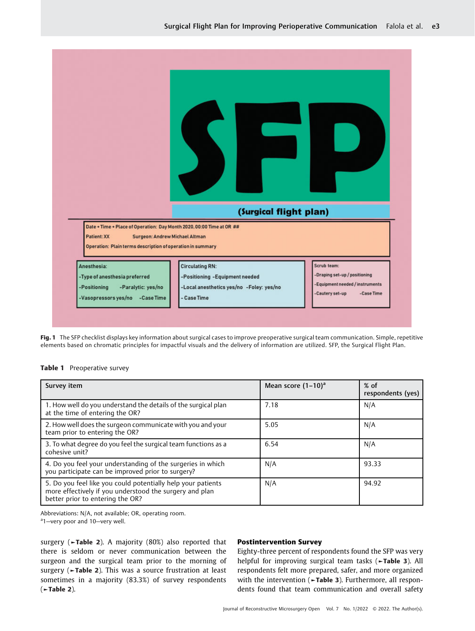| Date + Time + Place of Operation: Day Month 2020, 00:00 Time at OR ##<br>Patient: XX<br>Surgeon: Andrew Michael Altman | (Surgical flight plan)         |                                                                  |
|------------------------------------------------------------------------------------------------------------------------|--------------------------------|------------------------------------------------------------------|
| Operation: Plain terms description of operation in summary<br>Anesthesia:                                              | <b>Circulating RN:</b>         | Scrub team:                                                      |
|                                                                                                                        | -Positioning -Equipment needed | -Draping set-up / positioning<br>-Equipment needed / instruments |

Fig. 1 The SFP checklist displays key information about surgical cases to improve preoperative surgical team communication. Simple, repetitive elements based on chromatic principles for impactful visuals and the delivery of information are utilized. SFP, the Surgical Flight Plan.

### Table 1 Preoperative survey

| Survey item                                                                                                                                                 | Mean score $(1-10)^a$ | $%$ of<br>respondents (yes) |
|-------------------------------------------------------------------------------------------------------------------------------------------------------------|-----------------------|-----------------------------|
| 1. How well do you understand the details of the surgical plan<br>at the time of entering the OR?                                                           | 7.18                  | N/A                         |
| 2. How well does the surgeon communicate with you and your<br>team prior to entering the OR?                                                                | 5.05                  | N/A                         |
| 3. To what degree do you feel the surgical team functions as a<br>cohesive unit?                                                                            | 6.54                  | N/A                         |
| 4. Do you feel your understanding of the surgeries in which<br>you participate can be improved prior to surgery?                                            | N/A                   | 93.33                       |
| 5. Do you feel like you could potentially help your patients<br>more effectively if you understood the surgery and plan<br>better prior to entering the OR? | N/A                   | 94.92                       |

Abbreviations: N/A, not available; OR, operating room.

a<sub>1</sub>-very poor and 10-very well.

surgery (►Table 2). A majority (80%) also reported that there is seldom or never communication between the surgeon and the surgical team prior to the morning of surgery (►Table 2). This was a source frustration at least sometimes in a majority (83.3%) of survey respondents (►Table 2).

## Postintervention Survey

Eighty-three percent of respondents found the SFP was very helpful for improving surgical team tasks (►Table 3). All respondents felt more prepared, safer, and more organized with the intervention (►Table 3). Furthermore, all respondents found that team communication and overall safety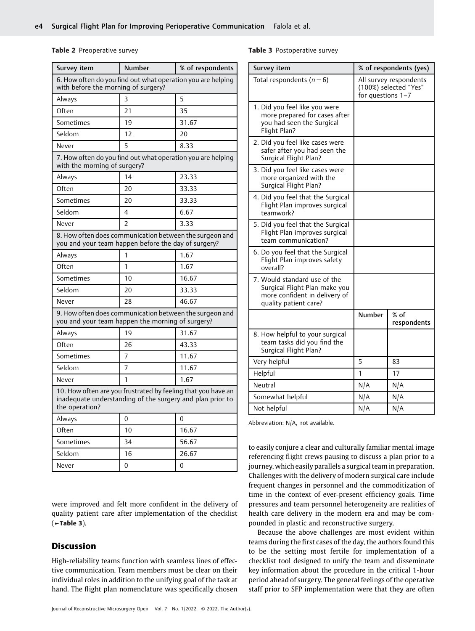#### Table 2 Preoperative survey

| Survey item                                                                                                                                 | <b>Number</b>  | % of respondents |  |  |  |
|---------------------------------------------------------------------------------------------------------------------------------------------|----------------|------------------|--|--|--|
| 6. How often do you find out what operation you are helping<br>with before the morning of surgery?                                          |                |                  |  |  |  |
| Always                                                                                                                                      | ς              | 5                |  |  |  |
| Often                                                                                                                                       | 21             | 35               |  |  |  |
| Sometimes                                                                                                                                   | 19             | 31.67            |  |  |  |
| Seldom                                                                                                                                      | 12             | 20               |  |  |  |
| Never                                                                                                                                       | 5              | 8.33             |  |  |  |
| 7. How often do you find out what operation you are helping<br>with the morning of surgery?                                                 |                |                  |  |  |  |
| Always                                                                                                                                      | 14             | 23.33            |  |  |  |
| Often                                                                                                                                       | 20             | 33.33            |  |  |  |
| Sometimes                                                                                                                                   | 20             | 33.33            |  |  |  |
| Seldom                                                                                                                                      | 4              | 6.67             |  |  |  |
| Never                                                                                                                                       | $\overline{2}$ | 3.33             |  |  |  |
| 8. How often does communication between the surgeon and<br>you and your team happen before the day of surgery?                              |                |                  |  |  |  |
| Always                                                                                                                                      | 1              | 1.67             |  |  |  |
| Often                                                                                                                                       | 1              | 1.67             |  |  |  |
| Sometimes                                                                                                                                   | 10             | 16.67            |  |  |  |
| Seldom                                                                                                                                      | 20             | 33.33            |  |  |  |
| Never                                                                                                                                       | 28             | 46.67            |  |  |  |
| 9. How often does communication between the surgeon and<br>you and your team happen the morning of surgery?                                 |                |                  |  |  |  |
| Always                                                                                                                                      | 19             | 31.67            |  |  |  |
| Often                                                                                                                                       | 26             | 43.33            |  |  |  |
| Sometimes                                                                                                                                   | 7              | 11.67            |  |  |  |
| Seldom                                                                                                                                      | 7              | 11.67            |  |  |  |
| Never                                                                                                                                       | 1              | 1.67             |  |  |  |
| 10. How often are you frustrated by feeling that you have an<br>inadequate understanding of the surgery and plan prior to<br>the operation? |                |                  |  |  |  |
| Always                                                                                                                                      | 0              | 0                |  |  |  |
| Often                                                                                                                                       | 10             | 16.67            |  |  |  |
| Sometimes                                                                                                                                   | 34             | 56.67            |  |  |  |
| Seldom                                                                                                                                      | 16             | 26.67            |  |  |  |
| Never                                                                                                                                       | 0              | 0                |  |  |  |

were improved and felt more confident in the delivery of quality patient care after implementation of the checklist  $(-$ Table 3).

## Discussion

High-reliability teams function with seamless lines of effective communication. Team members must be clear on their individual roles in addition to the unifying goal of the task at hand. The flight plan nomenclature was specifically chosen

#### Table 3 Postoperative survey

|                                                                                                                                                                              | Survey item                                                                                                             | % of respondents (yes)                                               |                       |  |
|------------------------------------------------------------------------------------------------------------------------------------------------------------------------------|-------------------------------------------------------------------------------------------------------------------------|----------------------------------------------------------------------|-----------------------|--|
|                                                                                                                                                                              | Total respondents ( $n = 6$ )                                                                                           | All survey respondents<br>(100%) selected "Yes"<br>for questions 1-7 |                       |  |
| 1. Did you feel like you were<br>more prepared for cases after<br>you had seen the Surgical<br>Flight Plan?                                                                  |                                                                                                                         |                                                                      |                       |  |
|                                                                                                                                                                              | 2. Did you feel like cases were<br>safer after you had seen the<br>Surgical Flight Plan?                                |                                                                      |                       |  |
|                                                                                                                                                                              | 3. Did you feel like cases were<br>more organized with the<br>Surgical Flight Plan?                                     |                                                                      |                       |  |
| 4. Did you feel that the Surgical<br>Flight Plan improves surgical<br>teamwork?<br>5. Did you feel that the Surgical<br>Flight Plan improves surgical<br>team communication? |                                                                                                                         |                                                                      |                       |  |
|                                                                                                                                                                              |                                                                                                                         |                                                                      |                       |  |
|                                                                                                                                                                              | 6. Do you feel that the Surgical<br>Flight Plan improves safety<br>overall?                                             |                                                                      |                       |  |
|                                                                                                                                                                              | 7. Would standard use of the<br>Surgical Flight Plan make you<br>more confident in delivery of<br>quality patient care? |                                                                      |                       |  |
|                                                                                                                                                                              |                                                                                                                         | <b>Number</b>                                                        | $%$ of<br>respondents |  |
| 8. How helpful to your surgical<br>team tasks did you find the<br>Surgical Flight Plan?                                                                                      |                                                                                                                         |                                                                      |                       |  |
|                                                                                                                                                                              | Very helpful                                                                                                            | 5                                                                    | 83                    |  |
|                                                                                                                                                                              | Helpful                                                                                                                 | 1                                                                    | 17                    |  |
|                                                                                                                                                                              | Neutral                                                                                                                 | N/A                                                                  | N/A                   |  |
|                                                                                                                                                                              | Somewhat helpful                                                                                                        | N/A                                                                  | N/A                   |  |
|                                                                                                                                                                              | Not helpful                                                                                                             | N/A                                                                  | N/A                   |  |

Abbreviation: N/A, not available.

to easily conjure a clear and culturally familiar mental image referencing flight crews pausing to discuss a plan prior to a journey, which easily parallels a surgical team in preparation. Challenges with the delivery of modern surgical care include frequent changes in personnel and the commoditization of time in the context of ever-present efficiency goals. Time pressures and team personnel heterogeneity are realities of health care delivery in the modern era and may be compounded in plastic and reconstructive surgery.

Because the above challenges are most evident within teams during the first cases of the day, the authors found this to be the setting most fertile for implementation of a checklist tool designed to unify the team and disseminate key information about the procedure in the critical 1-hour period ahead of surgery. The general feelings of the operative staff prior to SFP implementation were that they are often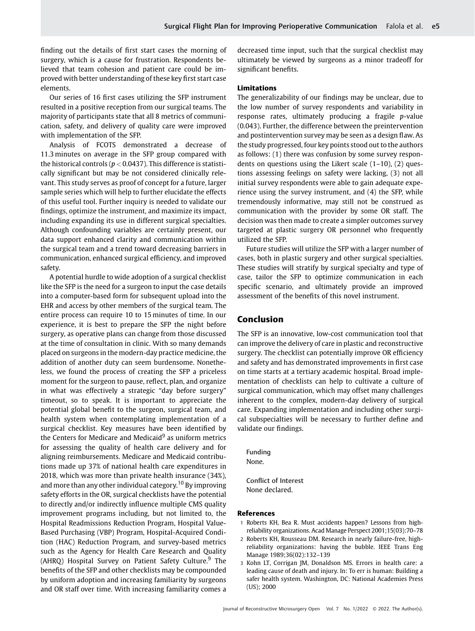finding out the details of first start cases the morning of surgery, which is a cause for frustration. Respondents believed that team cohesion and patient care could be improved with better understanding of these key first start case elements.

Our series of 16 first cases utilizing the SFP instrument resulted in a positive reception from our surgical teams. The majority of participants state that all 8 metrics of communication, safety, and delivery of quality care were improved with implementation of the SFP.

Analysis of FCOTS demonstrated a decrease of 11.3 minutes on average in the SFP group compared with the historical controls ( $p < 0.0437$ ). This difference is statistically significant but may be not considered clinically relevant. This study serves as proof of concept for a future, larger sample series which will help to further elucidate the effects of this useful tool. Further inquiry is needed to validate our findings, optimize the instrument, and maximize its impact, including expanding its use in different surgical specialties. Although confounding variables are certainly present, our data support enhanced clarity and communication within the surgical team and a trend toward decreasing barriers in communication, enhanced surgical efficiency, and improved safety.

A potential hurdle to wide adoption of a surgical checklist like the SFP is the need for a surgeon to input the case details into a computer-based form for subsequent upload into the EHR and access by other members of the surgical team. The entire process can require 10 to 15 minutes of time. In our experience, it is best to prepare the SFP the night before surgery, as operative plans can change from those discussed at the time of consultation in clinic. With so many demands placed on surgeons in the modern-day practice medicine, the addition of another duty can seem burdensome. Nonetheless, we found the process of creating the SFP a priceless moment for the surgeon to pause, reflect, plan, and organize in what was effectively a strategic "day before surgery" timeout, so to speak. It is important to appreciate the potential global benefit to the surgeon, surgical team, and health system when contemplating implementation of a surgical checklist. Key measures have been identified by the Centers for Medicare and Medicaid $9$  as uniform metrics for assessing the quality of health care delivery and for aligning reimbursements. Medicare and Medicaid contributions made up 37% of national health care expenditures in 2018, which was more than private health insurance (34%), and more than any other individual category.<sup>10</sup> By improving safety efforts in the OR, surgical checklists have the potential to directly and/or indirectly influence multiple CMS quality improvement programs including, but not limited to, the Hospital Readmissions Reduction Program, Hospital Value-Based Purchasing (VBP) Program, Hospital-Acquired Condition (HAC) Reduction Program, and survey-based metrics such as the Agency for Health Care Research and Quality (AHRO) Hospital Survey on Patient Safety Culture. $9$  The benefits of the SFP and other checklists may be compounded by uniform adoption and increasing familiarity by surgeons and OR staff over time. With increasing familiarity comes a decreased time input, such that the surgical checklist may ultimately be viewed by surgeons as a minor tradeoff for significant benefits.

#### Limitations

The generalizability of our findings may be unclear, due to the low number of survey respondents and variability in response rates, ultimately producing a fragile p-value (0.043). Further, the difference between the preintervention and postintervention survey may be seen as a design flaw. As the study progressed, four key points stood out to the authors as follows: (1) there was confusion by some survey respondents on questions using the Likert scale (1–10), (2) questions assessing feelings on safety were lacking, (3) not all initial survey respondents were able to gain adequate experience using the survey instrument, and (4) the SFP, while tremendously informative, may still not be construed as communication with the provider by some OR staff. The decision was then made to create a simpler outcomes survey targeted at plastic surgery OR personnel who frequently utilized the SFP.

Future studies will utilize the SFP with a larger number of cases, both in plastic surgery and other surgical specialties. These studies will stratify by surgical specialty and type of case, tailor the SFP to optimize communication in each specific scenario, and ultimately provide an improved assessment of the benefits of this novel instrument.

# Conclusion

The SFP is an innovative, low-cost communication tool that can improve the delivery of care in plastic and reconstructive surgery. The checklist can potentially improve OR efficiency and safety and has demonstrated improvements in first case on time starts at a tertiary academic hospital. Broad implementation of checklists can help to cultivate a culture of surgical communication, which may offset many challenges inherent to the complex, modern-day delivery of surgical care. Expanding implementation and including other surgical subspecialties will be necessary to further define and validate our findings.

Funding None.

Conflict of Interest None declared.

#### References

- 1 Roberts KH, Bea R. Must accidents happen? Lessons from highreliability organizations. Acad Manage Perspect 2001;15(03):70–78
- 2 Roberts KH, Rousseau DM. Research in nearly failure-free, highreliability organizations: having the bubble. IEEE Trans Eng Manage 1989;36(02):132–139
- 3 Kohn LT, Corrigan JM, Donaldson MS. Errors in health care: a leading cause of death and injury. In: To err is human: Building a safer health system. Washington, DC: National Academies Press (US); 2000